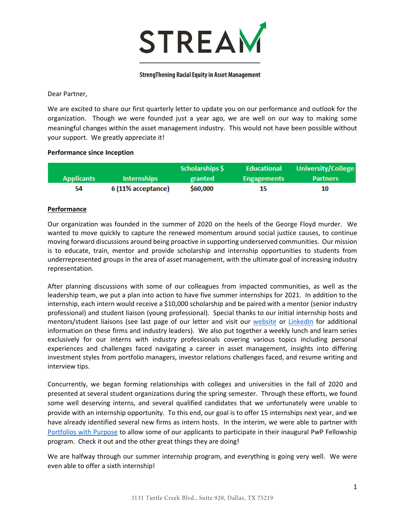

#### **StrengThening Racial Equity in Asset Management**

Dear Partner,

We are excited to share our first quarterly letter to update you on our performance and outlook for the organization. Though we were founded just a year ago, we are well on our way to making some meaningful changes within the asset management industry. This would not have been possible without your support. We greatly appreciate it!

#### **Performance since Inception**

|                   |                    | <b>Scholarships \$</b> | <b>Educational</b> | <b>University/College</b> |
|-------------------|--------------------|------------------------|--------------------|---------------------------|
| <b>Applicants</b> | <b>Internships</b> | granted                | <b>Engagements</b> | <b>Partners</b>           |
| 54                | 6 (11% acceptance) | \$60,000               | 15                 | 10                        |

### **Performance**

Our organization was founded in the summer of 2020 on the heels of the George Floyd murder. We wanted to move quickly to capture the renewed momentum around social justice causes, to continue moving forward discussions around being proactive in supporting underserved communities. Our mission is to educate, train, mentor and provide scholarship and internship opportunities to students from underrepresented groups in the area of asset management, with the ultimate goal of increasing industry representation.

After planning discussions with some of our colleagues from impacted communities, as well as the leadership team, we put a plan into action to have five summer internships for 2021. In addition to the internship, each intern would receive a \$10,000 scholarship and be paired with a mentor (senior industry professional) and student liaison (young professional). Special thanks to our initial internship hosts and mentors/student liaisons (see last page of our letter and visit our [website](https://www.streamdallas.org/) or [LinkedIn](https://www.linkedin.com/company/strengthening-racial-equity-in-asset-management-stream) for additional information on these firms and industry leaders). We also put together a weekly lunch and learn series exclusively for our interns with industry professionals covering various topics including personal experiences and challenges faced navigating a career in asset management, insights into differing investment styles from portfolio managers, investor relations challenges faced, and resume writing and interview tips.

Concurrently, we began forming relationships with colleges and universities in the fall of 2020 and presented at several student organizations during the spring semester. Through these efforts, we found some well deserving interns, and several qualified candidates that we unfortunately were unable to provide with an internship opportunity. To this end, our goal is to offer 15 internships next year, and we have already identified several new firms as intern hosts. In the interim, we were able to partner with [Portfolios with Purpose](https://www.portfolioswithpurpose.org/) to allow some of our applicants to participate in their inaugural PwP Fellowship program. Check it out and the other great things they are doing!

We are halfway through our summer internship program, and everything is going very well. We were even able to offer a sixth internship!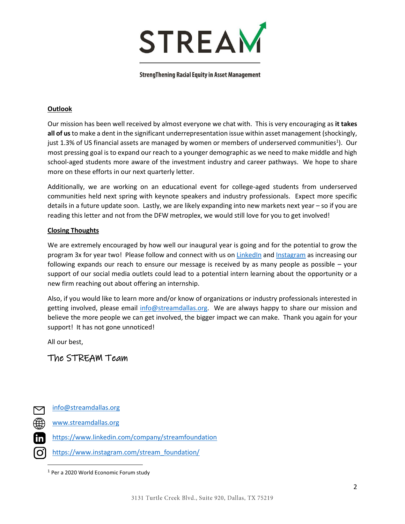

**StrengThening Racial Equity in Asset Management** 

### **Outlook**

Our mission has been well received by almost everyone we chat with. This is very encouraging as **it takes all of us**to make a dent in the significant underrepresentation issue within asset management (shockingly, just 1.3% of US financial assets are managed by women or members of underserved communities<sup>1</sup>). Our most pressing goal is to expand our reach to a younger demographic as we need to make middle and high school-aged students more aware of the investment industry and career pathways. We hope to share more on these efforts in our next quarterly letter.

Additionally, we are working on an educational event for college-aged students from underserved communities held next spring with keynote speakers and industry professionals. Expect more specific details in a future update soon. Lastly, we are likely expanding into new markets next year – so if you are reading this letter and not from the DFW metroplex, we would still love for you to get involved!

### **Closing Thoughts**

We are extremely encouraged by how well our inaugural year is going and for the potential to grow the program 3x for year two! Please follow and connect with us o[n LinkedIn](https://www.linkedin.com/company/streamfoundation) and [Instagram](https://www.instagram.com/stream_foundation/) as increasing our following expands our reach to ensure our message is received by as many people as possible – your support of our social media outlets could lead to a potential intern learning about the opportunity or a new firm reaching out about offering an internship.

Also, if you would like to learn more and/or know of organizations or industry professionals interested in getting involved, please email [info@streamdallas.org.](mailto:info@streamdallas.org) We are always happy to share our mission and believe the more people we can get involved, the bigger impact we can make. Thank you again for your support! It has not gone unnoticed!

All our best,

in

## The STREAM Team

[info@streamdallas.org](mailto:info@streamdallas.org)

[www.streamdallas.org](http://www.streamdallas.org/)

<https://www.linkedin.com/company/streamfoundation>

[https://www.instagram.com/stream\\_foundation/](https://www.instagram.com/stream_foundation/)O.

<sup>1</sup> Per a 2020 World Economic Forum study